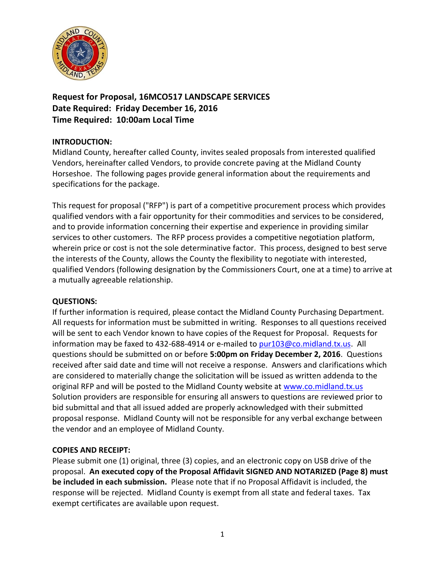

**Request for Proposal, 16MCO517 LANDSCAPE SERVICES Date Required: Friday December 16, 2016 Time Required: 10:00am Local Time**

# **INTRODUCTION:**

Midland County, hereafter called County, invites sealed proposals from interested qualified Vendors, hereinafter called Vendors, to provide concrete paving at the Midland County Horseshoe. The following pages provide general information about the requirements and specifications for the package.

This request for proposal ("RFP") is part of a competitive procurement process which provides qualified vendors with a fair opportunity for their commodities and services to be considered, and to provide information concerning their expertise and experience in providing similar services to other customers. The RFP process provides a competitive negotiation platform, wherein price or cost is not the sole determinative factor. This process, designed to best serve the interests of the County, allows the County the flexibility to negotiate with interested, qualified Vendors (following designation by the Commissioners Court, one at a time) to arrive at a mutually agreeable relationship.

#### **QUESTIONS:**

If further information is required, please contact the Midland County Purchasing Department. All requests for information must be submitted in writing. Responses to all questions received will be sent to each Vendor known to have copies of the Request for Proposal. Requests for information may be faxed to 432-688-4914 or e-mailed to [pur103@co.midland.tx.us.](mailto:pur103@co.midland.tx.us) All questions should be submitted on or before **5:00pm on Friday December 2, 2016**. Questions received after said date and time will not receive a response. Answers and clarifications which are considered to materially change the solicitation will be issued as written addenda to the original RFP and will be posted to the Midland County website at [www.co.midland.tx.us](http://www.co.midland.tx.us/)  Solution providers are responsible for ensuring all answers to questions are reviewed prior to bid submittal and that all issued added are properly acknowledged with their submitted proposal response. Midland County will not be responsible for any verbal exchange between the vendor and an employee of Midland County.

#### **COPIES AND RECEIPT:**

Please submit one (1) original, three (3) copies, and an electronic copy on USB drive of the proposal. **An executed copy of the Proposal Affidavit SIGNED AND NOTARIZED (Page 8) must be included in each submission.** Please note that if no Proposal Affidavit is included, the response will be rejected. Midland County is exempt from all state and federal taxes. Tax exempt certificates are available upon request.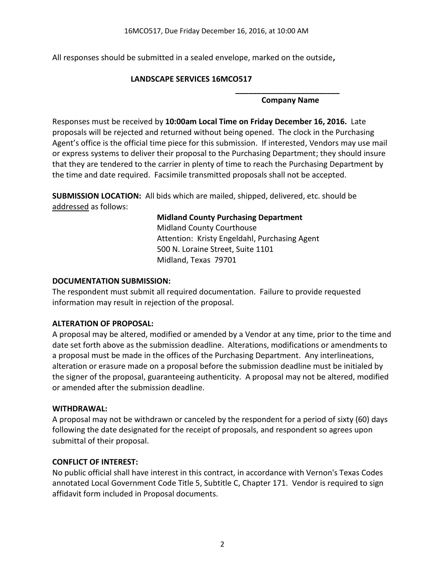All responses should be submitted in a sealed envelope, marked on the outside**,** 

### **LANDSCAPE SERVICES 16MCO517**

#### **\_\_\_\_\_\_\_\_\_\_\_\_\_\_\_\_\_\_\_\_\_\_\_\_ Company Name**

Responses must be received by **10:00am Local Time on Friday December 16, 2016.** Late proposals will be rejected and returned without being opened. The clock in the Purchasing Agent's office is the official time piece for this submission. If interested, Vendors may use mail or express systems to deliver their proposal to the Purchasing Department; they should insure that they are tendered to the carrier in plenty of time to reach the Purchasing Department by the time and date required. Facsimile transmitted proposals shall not be accepted.

**SUBMISSION LOCATION:** All bids which are mailed, shipped, delivered, etc. should be addressed as follows:

# **Midland County Purchasing Department**

Midland County Courthouse Attention: Kristy Engeldahl, Purchasing Agent 500 N. Loraine Street, Suite 1101 Midland, Texas 79701

### **DOCUMENTATION SUBMISSION:**

The respondent must submit all required documentation. Failure to provide requested information may result in rejection of the proposal.

# **ALTERATION OF PROPOSAL:**

A proposal may be altered, modified or amended by a Vendor at any time, prior to the time and date set forth above as the submission deadline. Alterations, modifications or amendments to a proposal must be made in the offices of the Purchasing Department. Any interlineations, alteration or erasure made on a proposal before the submission deadline must be initialed by the signer of the proposal, guaranteeing authenticity. A proposal may not be altered, modified or amended after the submission deadline.

# **WITHDRAWAL:**

A proposal may not be withdrawn or canceled by the respondent for a period of sixty (60) days following the date designated for the receipt of proposals, and respondent so agrees upon submittal of their proposal.

#### **CONFLICT OF INTEREST:**

No public official shall have interest in this contract, in accordance with Vernon's Texas Codes annotated Local Government Code Title 5, Subtitle C, Chapter 171. Vendor is required to sign affidavit form included in Proposal documents.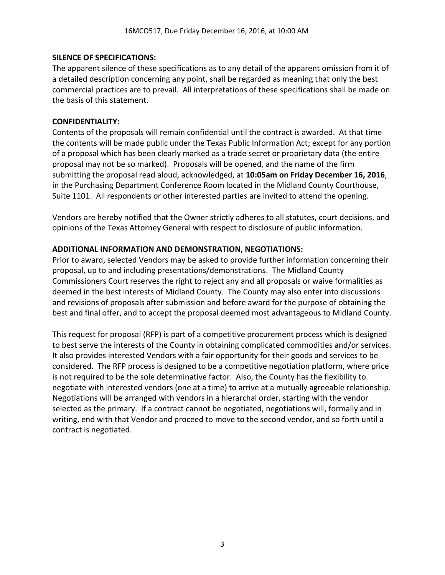### **SILENCE OF SPECIFICATIONS:**

The apparent silence of these specifications as to any detail of the apparent omission from it of a detailed description concerning any point, shall be regarded as meaning that only the best commercial practices are to prevail. All interpretations of these specifications shall be made on the basis of this statement.

### **CONFIDENTIALITY:**

Contents of the proposals will remain confidential until the contract is awarded. At that time the contents will be made public under the Texas Public Information Act; except for any portion of a proposal which has been clearly marked as a trade secret or proprietary data (the entire proposal may not be so marked). Proposals will be opened, and the name of the firm submitting the proposal read aloud, acknowledged, at **10:05am on Friday December 16, 2016**, in the Purchasing Department Conference Room located in the Midland County Courthouse, Suite 1101. All respondents or other interested parties are invited to attend the opening.

Vendors are hereby notified that the Owner strictly adheres to all statutes, court decisions, and opinions of the Texas Attorney General with respect to disclosure of public information.

### **ADDITIONAL INFORMATION AND DEMONSTRATION, NEGOTIATIONS:**

Prior to award, selected Vendors may be asked to provide further information concerning their proposal, up to and including presentations/demonstrations. The Midland County Commissioners Court reserves the right to reject any and all proposals or waive formalities as deemed in the best interests of Midland County. The County may also enter into discussions and revisions of proposals after submission and before award for the purpose of obtaining the best and final offer, and to accept the proposal deemed most advantageous to Midland County.

This request for proposal (RFP) is part of a competitive procurement process which is designed to best serve the interests of the County in obtaining complicated commodities and/or services. It also provides interested Vendors with a fair opportunity for their goods and services to be considered. The RFP process is designed to be a competitive negotiation platform, where price is not required to be the sole determinative factor. Also, the County has the flexibility to negotiate with interested vendors (one at a time) to arrive at a mutually agreeable relationship. Negotiations will be arranged with vendors in a hierarchal order, starting with the vendor selected as the primary. If a contract cannot be negotiated, negotiations will, formally and in writing, end with that Vendor and proceed to move to the second vendor, and so forth until a contract is negotiated.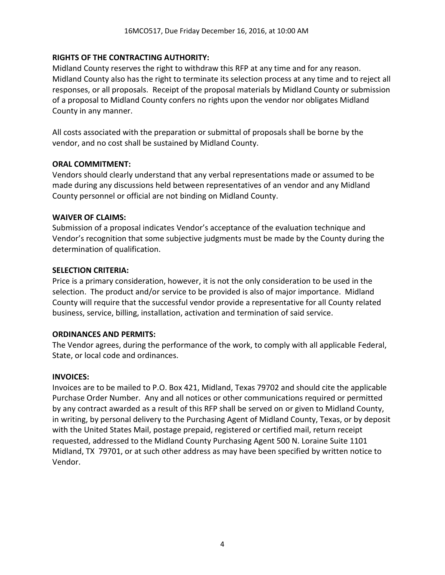### **RIGHTS OF THE CONTRACTING AUTHORITY:**

Midland County reserves the right to withdraw this RFP at any time and for any reason. Midland County also has the right to terminate its selection process at any time and to reject all responses, or all proposals. Receipt of the proposal materials by Midland County or submission of a proposal to Midland County confers no rights upon the vendor nor obligates Midland County in any manner.

All costs associated with the preparation or submittal of proposals shall be borne by the vendor, and no cost shall be sustained by Midland County.

#### **ORAL COMMITMENT:**

Vendors should clearly understand that any verbal representations made or assumed to be made during any discussions held between representatives of an vendor and any Midland County personnel or official are not binding on Midland County.

#### **WAIVER OF CLAIMS:**

Submission of a proposal indicates Vendor's acceptance of the evaluation technique and Vendor's recognition that some subjective judgments must be made by the County during the determination of qualification.

#### **SELECTION CRITERIA:**

Price is a primary consideration, however, it is not the only consideration to be used in the selection. The product and/or service to be provided is also of major importance. Midland County will require that the successful vendor provide a representative for all County related business, service, billing, installation, activation and termination of said service.

#### **ORDINANCES AND PERMITS:**

The Vendor agrees, during the performance of the work, to comply with all applicable Federal, State, or local code and ordinances.

### **INVOICES:**

Invoices are to be mailed to P.O. Box 421, Midland, Texas 79702 and should cite the applicable Purchase Order Number. Any and all notices or other communications required or permitted by any contract awarded as a result of this RFP shall be served on or given to Midland County, in writing, by personal delivery to the Purchasing Agent of Midland County, Texas, or by deposit with the United States Mail, postage prepaid, registered or certified mail, return receipt requested, addressed to the Midland County Purchasing Agent 500 N. Loraine Suite 1101 Midland, TX 79701, or at such other address as may have been specified by written notice to Vendor.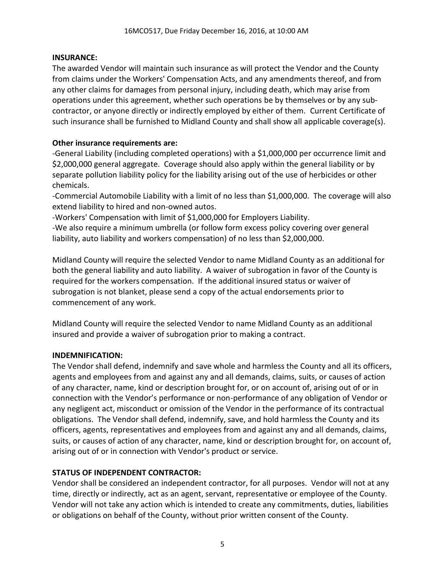### **INSURANCE:**

The awarded Vendor will maintain such insurance as will protect the Vendor and the County from claims under the Workers' Compensation Acts, and any amendments thereof, and from any other claims for damages from personal injury, including death, which may arise from operations under this agreement, whether such operations be by themselves or by any subcontractor, or anyone directly or indirectly employed by either of them. Current Certificate of such insurance shall be furnished to Midland County and shall show all applicable coverage(s).

### **Other insurance requirements are:**

-General Liability (including completed operations) with a \$1,000,000 per occurrence limit and \$2,000,000 general aggregate. Coverage should also apply within the general liability or by separate pollution liability policy for the liability arising out of the use of herbicides or other chemicals.

-Commercial Automobile Liability with a limit of no less than \$1,000,000. The coverage will also extend liability to hired and non-owned autos.

-Workers' Compensation with limit of \$1,000,000 for Employers Liability.

-We also require a minimum umbrella (or follow form excess policy covering over general liability, auto liability and workers compensation) of no less than \$2,000,000.

Midland County will require the selected Vendor to name Midland County as an additional for both the general liability and auto liability. A waiver of subrogation in favor of the County is required for the workers compensation. If the additional insured status or waiver of subrogation is not blanket, please send a copy of the actual endorsements prior to commencement of any work.

Midland County will require the selected Vendor to name Midland County as an additional insured and provide a waiver of subrogation prior to making a contract.

#### **INDEMNIFICATION:**

The Vendor shall defend, indemnify and save whole and harmless the County and all its officers, agents and employees from and against any and all demands, claims, suits, or causes of action of any character, name, kind or description brought for, or on account of, arising out of or in connection with the Vendor's performance or non-performance of any obligation of Vendor or any negligent act, misconduct or omission of the Vendor in the performance of its contractual obligations. The Vendor shall defend, indemnify, save, and hold harmless the County and its officers, agents, representatives and employees from and against any and all demands, claims, suits, or causes of action of any character, name, kind or description brought for, on account of, arising out of or in connection with Vendor's product or service.

# **STATUS OF INDEPENDENT CONTRACTOR:**

Vendor shall be considered an independent contractor, for all purposes. Vendor will not at any time, directly or indirectly, act as an agent, servant, representative or employee of the County. Vendor will not take any action which is intended to create any commitments, duties, liabilities or obligations on behalf of the County, without prior written consent of the County.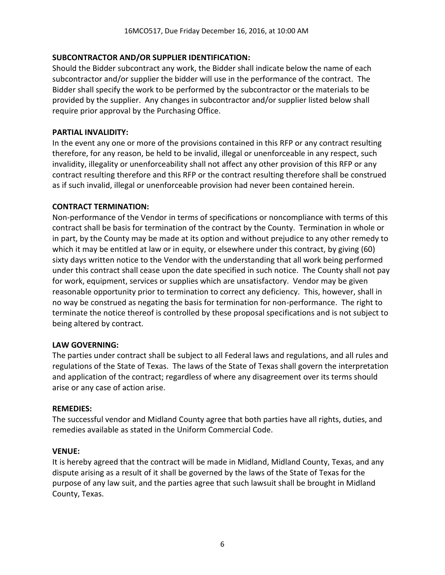### **SUBCONTRACTOR AND/OR SUPPLIER IDENTIFICATION:**

Should the Bidder subcontract any work, the Bidder shall indicate below the name of each subcontractor and/or supplier the bidder will use in the performance of the contract. The Bidder shall specify the work to be performed by the subcontractor or the materials to be provided by the supplier. Any changes in subcontractor and/or supplier listed below shall require prior approval by the Purchasing Office.

#### **PARTIAL INVALIDITY:**

In the event any one or more of the provisions contained in this RFP or any contract resulting therefore, for any reason, be held to be invalid, illegal or unenforceable in any respect, such invalidity, illegality or unenforceability shall not affect any other provision of this RFP or any contract resulting therefore and this RFP or the contract resulting therefore shall be construed as if such invalid, illegal or unenforceable provision had never been contained herein.

#### **CONTRACT TERMINATION:**

Non-performance of the Vendor in terms of specifications or noncompliance with terms of this contract shall be basis for termination of the contract by the County. Termination in whole or in part, by the County may be made at its option and without prejudice to any other remedy to which it may be entitled at law or in equity, or elsewhere under this contract, by giving (60) sixty days written notice to the Vendor with the understanding that all work being performed under this contract shall cease upon the date specified in such notice. The County shall not pay for work, equipment, services or supplies which are unsatisfactory. Vendor may be given reasonable opportunity prior to termination to correct any deficiency. This, however, shall in no way be construed as negating the basis for termination for non-performance. The right to terminate the notice thereof is controlled by these proposal specifications and is not subject to being altered by contract.

# **LAW GOVERNING:**

The parties under contract shall be subject to all Federal laws and regulations, and all rules and regulations of the State of Texas. The laws of the State of Texas shall govern the interpretation and application of the contract; regardless of where any disagreement over its terms should arise or any case of action arise.

#### **REMEDIES:**

The successful vendor and Midland County agree that both parties have all rights, duties, and remedies available as stated in the Uniform Commercial Code.

#### **VENUE:**

It is hereby agreed that the contract will be made in Midland, Midland County, Texas, and any dispute arising as a result of it shall be governed by the laws of the State of Texas for the purpose of any law suit, and the parties agree that such lawsuit shall be brought in Midland County, Texas.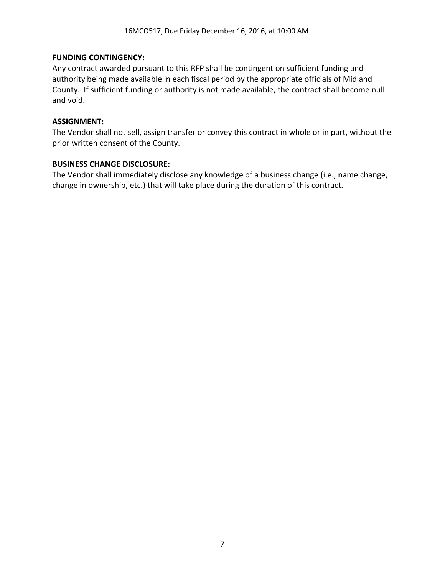#### **FUNDING CONTINGENCY:**

Any contract awarded pursuant to this RFP shall be contingent on sufficient funding and authority being made available in each fiscal period by the appropriate officials of Midland County. If sufficient funding or authority is not made available, the contract shall become null and void.

### **ASSIGNMENT:**

The Vendor shall not sell, assign transfer or convey this contract in whole or in part, without the prior written consent of the County.

#### **BUSINESS CHANGE DISCLOSURE:**

The Vendor shall immediately disclose any knowledge of a business change (i.e., name change, change in ownership, etc.) that will take place during the duration of this contract.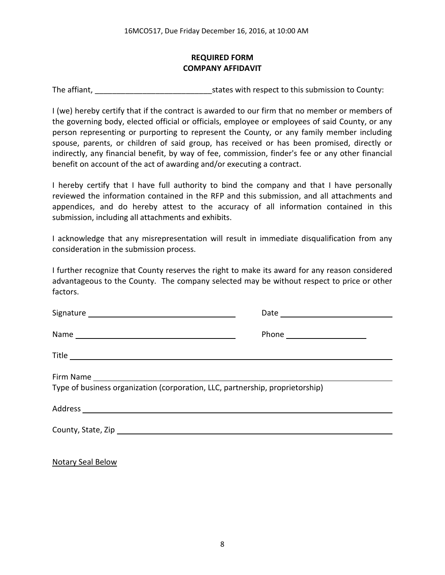# **REQUIRED FORM COMPANY AFFIDAVIT**

The affiant, The affiant, The affiant,  $\frac{1}{2}$  is tates with respect to this submission to County:

I (we) hereby certify that if the contract is awarded to our firm that no member or members of the governing body, elected official or officials, employee or employees of said County, or any person representing or purporting to represent the County, or any family member including spouse, parents, or children of said group, has received or has been promised, directly or indirectly, any financial benefit, by way of fee, commission, finder's fee or any other financial benefit on account of the act of awarding and/or executing a contract.

I hereby certify that I have full authority to bind the company and that I have personally reviewed the information contained in the RFP and this submission, and all attachments and appendices, and do hereby attest to the accuracy of all information contained in this submission, including all attachments and exhibits.

I acknowledge that any misrepresentation will result in immediate disqualification from any consideration in the submission process.

I further recognize that County reserves the right to make its award for any reason considered advantageous to the County. The company selected may be without respect to price or other factors.

| Type of business organization (corporation, LLC, partnership, proprietorship) |  |  |
|-------------------------------------------------------------------------------|--|--|
|                                                                               |  |  |
|                                                                               |  |  |

Notary Seal Below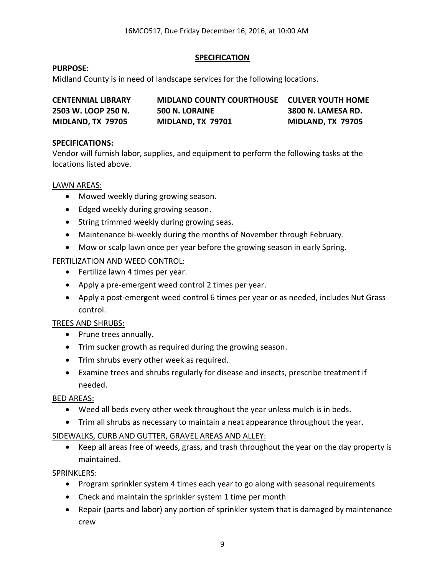### **SPECIFICATION**

### **PURPOSE:**

Midland County is in need of landscape services for the following locations.

| <b>CENTENNIAL LIBRARY</b> | <b>MIDLAND COUNTY COURTHOUSE CULVER YOUTH HOME</b> |                           |
|---------------------------|----------------------------------------------------|---------------------------|
| 2503 W. LOOP 250 N.       | 500 N. LORAINE                                     | <b>3800 N. LAMESA RD.</b> |
| MIDLAND, TX 79705         | MIDLAND, TX 79701                                  | MIDLAND, TX 79705         |

### **SPECIFICATIONS:**

Vendor will furnish labor, supplies, and equipment to perform the following tasks at the locations listed above.

#### LAWN AREAS:

- Mowed weekly during growing season.
- Edged weekly during growing season.
- String trimmed weekly during growing seas.
- Maintenance bi-weekly during the months of November through February.
- Mow or scalp lawn once per year before the growing season in early Spring.

# FERTILIZATION AND WEED CONTROL:

- Fertilize lawn 4 times per year.
- Apply a pre-emergent weed control 2 times per year.
- Apply a post-emergent weed control 6 times per year or as needed, includes Nut Grass control.

# TREES AND SHRUBS:

- Prune trees annually.
- Trim sucker growth as required during the growing season.
- Trim shrubs every other week as required.
- Examine trees and shrubs regularly for disease and insects, prescribe treatment if needed.

# BED AREAS:

- Weed all beds every other week throughout the year unless mulch is in beds.
- Trim all shrubs as necessary to maintain a neat appearance throughout the year.

# SIDEWALKS, CURB AND GUTTER, GRAVEL AREAS AND ALLEY:

 Keep all areas free of weeds, grass, and trash throughout the year on the day property is maintained.

# SPRINKLERS:

- Program sprinkler system 4 times each year to go along with seasonal requirements
- Check and maintain the sprinkler system 1 time per month
- Repair (parts and labor) any portion of sprinkler system that is damaged by maintenance crew